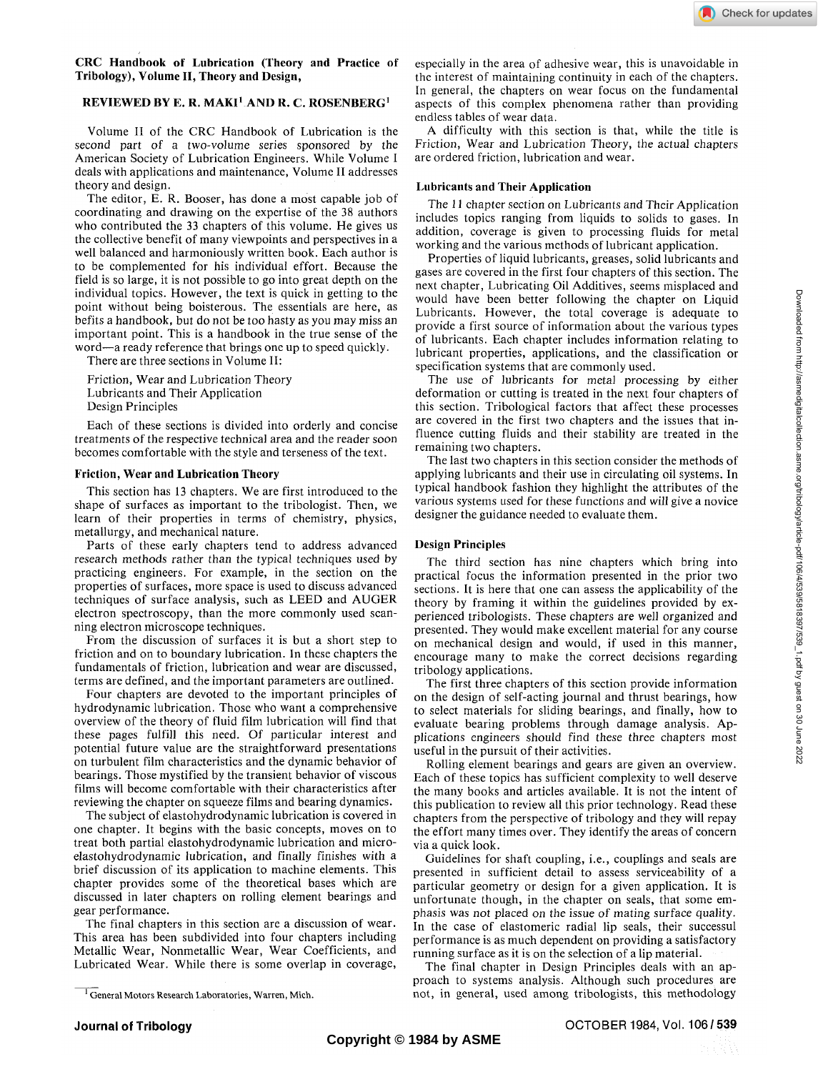### **CRC Handbook of Lubrication (Theory and Practice of Tribology), Volume II, Theory and Design,**

# **REVIEWED BY** E. **R. MAKI<sup>1</sup> AND R.** C. **ROSENBERG<sup>1</sup>**

Volume II of the CRC Handbook of Lubrication is the second part of a two-volume series sponsored by the American Society of Lubrication Engineers. While Volume I deals with applications and maintenance, Volume II addresses theory and design.

The editor, E. R. Booser, has done a most capable job of coordinating and drawing on the expertise of the 38 authors who contributed the 33 chapters of this volume. He gives us the collective benefit of many viewpoints and perspectives in a well balanced and harmoniously written book. Each author is to be complemented for his individual effort. Because the field is so large, it is not possible to go into great depth on the individual topics. However, the text is quick in getting to the point without being boisterous. The essentials are here, as befits a handbook, but do not be too hasty as you may miss an important point. This is a handbook in the true sense of the word—a ready reference that brings one up to speed quickly.

There are three sections in Volume II:

Friction, Wear and Lubrication Theory Lubricants and Their Application Design Principles

Each of these sections is divided into orderly and concise treatments of the respective technical area and the reader soon becomes comfortable with the style and terseness of the text.

#### **Friction, Wear and Lubrication Theory**

This section has 13 chapters. We are first introduced to the shape of surfaces as important to the tribologist. Then, we learn of their properties in terms of chemistry, physics, metallurgy, and mechanical nature.

Parts of these early chapters tend to address advanced research methods rather than the typical techniques used by practicing engineers. For example, in the section on the properties of surfaces, more space is used to discuss advanced techniques of surface analysis, such as LEED and AUGER electron spectroscopy, than the more commonly used scanning electron microscope techniques.

From the discussion of surfaces it is but a short step to friction and on to boundary lubrication. In these chapters the fundamentals of friction, lubrication and wear are discussed, terms are defined, and the important parameters are outlined.

Four chapters are devoted to the important principles of hydrodynamic lubrication. Those who want a comprehensive overview of the theory of fluid film lubrication will find that these pages fulfill this need. Of particular interest and potential future value are the straightforward presentations on turbulent film characteristics and the dynamic behavior of bearings. Those mystified by the transient behavior of viscous films will become comfortable with their characteristics after reviewing the chapter on squeeze films and bearing dynamics.

The subject of elastohydrodynamic lubrication is covered in one chapter. It begins with the basic concepts, moves on to treat both partial elastohydrodynamic lubrication and microelastohydrodynamic lubrication, and finally finishes with a brief discussion of its application to machine elements. This chapter provides some of the theoretical bases which are discussed in later chapters on rolling element bearings and gear performance.

The final chapters in this section are a discussion of wear. This area has been subdivided into four chapters including Metallic Wear, Nonmetallic Wear, Wear Coefficients, and Lubricated Wear. While there is some overlap in coverage, especially in the area of adhesive wear, this is unavoidable in the interest of maintaining continuity in each of the chapters. In general, the chapters on wear focus on the fundamental aspects of this complex phenomena rather than providing endless tables of wear data.

A difficulty with this section is that, while the title is Friction, Wear and Lubrication Theory, the actual chapters are ordered friction, lubrication and wear.

### **Lubricants and Their Application**

The **11** chapter section on Lubricants and Their Application includes topics ranging from liquids to solids to gases. In addition, coverage is given to processing fluids for metal working and the various methods of lubricant application.

Properties of liquid lubricants, greases, solid lubricants and gases are covered in the first four chapters of this section. The next chapter, Lubricating Oil Additives, seems misplaced and would have been better following the chapter on Liquid Lubricants. However, the total coverage is adequate to provide a first source of information about the various types of lubricants. Each chapter includes information relating to lubricant properties, applications, and the classification or specification systems that are commonly used.

The use of lubricants for metal processing by either deformation or cutting is treated in the next four chapters of this section. Tribological factors that affect these processes are covered in the first two chapters and the issues that influence cutting fluids and their stability are treated in the remaining two chapters.

The last two chapters in this section consider the methods of applying lubricants and their use in circulating oil systems. In typical handbook fashion they highlight the attributes of the various systems used for these functions and will give a novice designer the guidance needed to evaluate them.

### **Design Principles**

The third section has nine chapters which bring into practical focus the information presented in the prior two sections. It is here that one can assess the applicability of the theory by framing it within the guidelines provided by experienced tribologists. These chapters are well organized and presented. They would make excellent material for any course on mechanical design and would, if used in this manner, encourage many to make the correct decisions regarding tribology applications.

The first three chapters of this section provide information on the design of self-acting journal and thrust bearings, how to select materials for sliding bearings, and finally, how to evaluate bearing problems through damage analysis. Applications engineers should find these three chapters most useful in the pursuit of their activities.

Rolling element bearings and gears are given an overview. Each of these topics has sufficient complexity to well deserve the many books and articles available. It is not the intent of this publication to review all this prior technology. Read these chapters from the perspective of tribology and they will repay the effort many times over. They identify the areas of concern via a quick look.

Guidelines for shaft coupling, i.e., couplings and seals are presented in sufficient detail to assess serviceability of a particular geometry or design for a given application. It is unfortunate though, in the chapter on seals, that some emphasis was not placed on the issue of mating surface quality. In the case of elastomeric radial lip seals, their successul performance is as much dependent on providing a satisfactory running surface as it is on the selection of a lip material.

The final chapter in Design Principles deals with an approach to systems analysis. Although such procedures are not, in general, used among tribologists, this methodology

<sup>&</sup>lt;sup>1</sup> General Motors Research Laboratories, Warren, Mich.